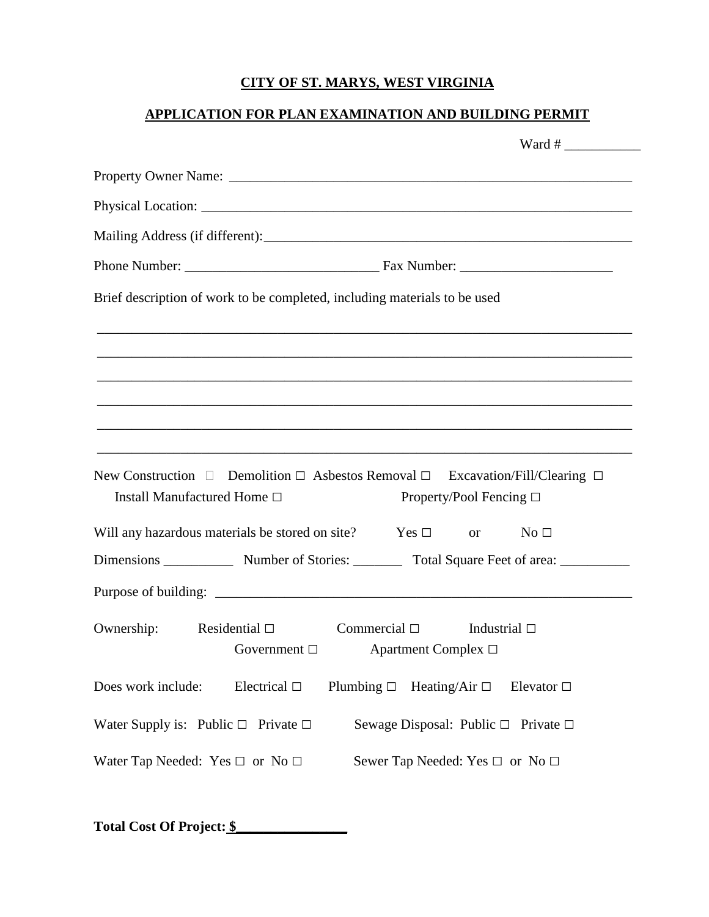# **CITY OF ST. MARYS, WEST VIRGINIA**

# **APPLICATION FOR PLAN EXAMINATION AND BUILDING PERMIT**

|                                               | Brief description of work to be completed, including materials to be used                                                         |
|-----------------------------------------------|-----------------------------------------------------------------------------------------------------------------------------------|
|                                               |                                                                                                                                   |
|                                               | ,我们也不能在这里的时候,我们也不能在这里的时候,我们也不能会在这里的时候,我们也不能会在这里的时候,我们也不能会在这里的时候,我们也不能会在这里的时候,我们也不                                                 |
| Install Manufactured Home □                   | New Construction $\Box$ Demolition $\Box$ Asbestos Removal $\Box$ Excavation/Fill/Clearing $\Box$<br>Property/Pool Fencing $\Box$ |
|                                               | Will any hazardous materials be stored on site? $\qquad \qquad$ Yes $\Box$ or<br>No <sub>1</sub>                                  |
|                                               | Dimensions ______________ Number of Stories: __________ Total Square Feet of area: _______________                                |
|                                               |                                                                                                                                   |
| Ownership:                                    | Commercial $\square$ Industrial $\square$<br>Residential $\square$<br>Government $\square$<br>Apartment Complex $\Box$            |
| Does work include:                            | Electrical $\Box$<br>Plumbing $\Box$ Heating/Air $\Box$<br>Elevator $\Box$                                                        |
| Water Supply is: Public $\Box$ Private $\Box$ | Sewage Disposal: Public $\Box$ Private $\Box$                                                                                     |
| Water Tap Needed: Yes $\Box$ or No $\Box$     | Sewer Tap Needed: Yes $\Box$ or No $\Box$                                                                                         |

**Total Cost Of Project: \$\_\_\_\_\_\_\_\_\_\_\_\_\_\_\_\_**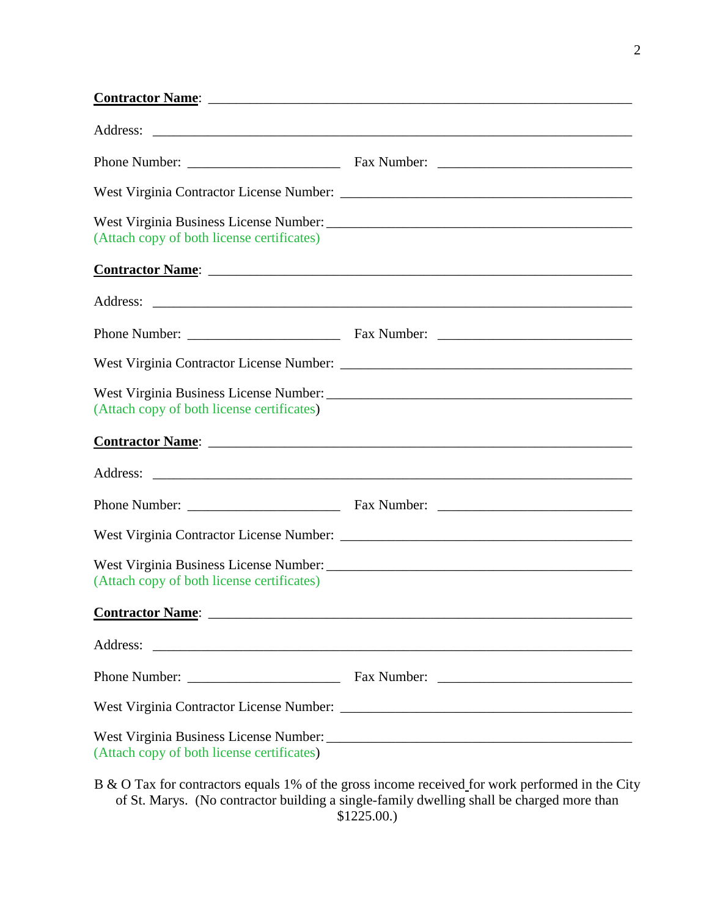| (Attach copy of both license certificates)                                                                                        |  |
|-----------------------------------------------------------------------------------------------------------------------------------|--|
|                                                                                                                                   |  |
|                                                                                                                                   |  |
|                                                                                                                                   |  |
|                                                                                                                                   |  |
| (Attach copy of both license certificates)                                                                                        |  |
|                                                                                                                                   |  |
|                                                                                                                                   |  |
|                                                                                                                                   |  |
|                                                                                                                                   |  |
| (Attach copy of both license certificates)                                                                                        |  |
|                                                                                                                                   |  |
| Address:<br><u> 1989 - Johann Barbara, martin amerikan basal dan berasal dan berasal dalam basal dalam basal dalam basal dala</u> |  |
|                                                                                                                                   |  |
|                                                                                                                                   |  |
| (Attach copy of both license certificates)                                                                                        |  |
|                                                                                                                                   |  |

B & O Tax for contractors equals 1% of the gross income received for work performed in the City of St. Marys. (No contractor building a single-family dwelling shall be charged more than \$1225.00.)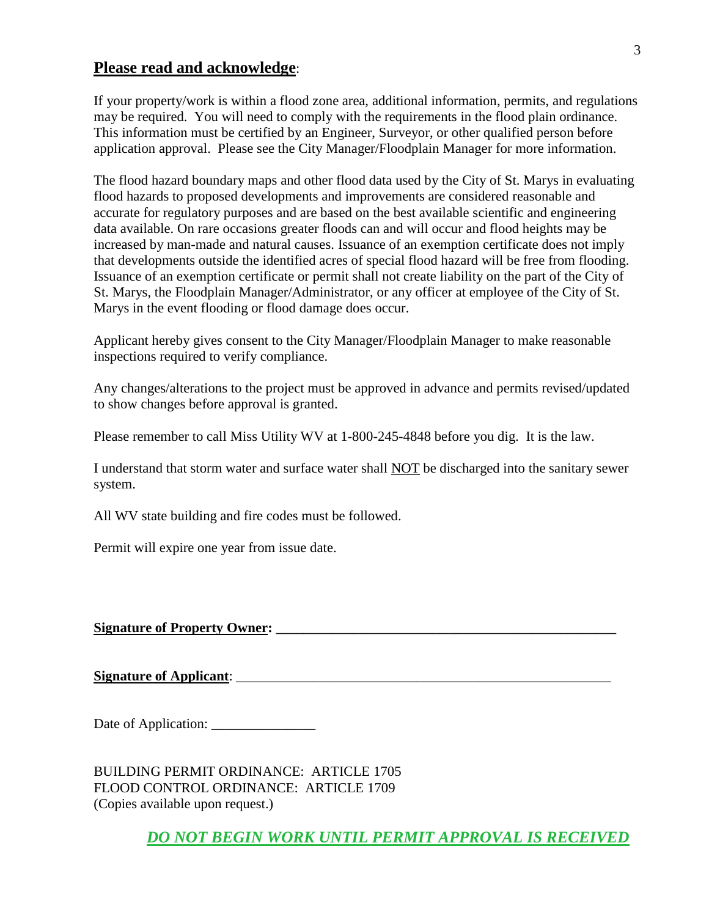### **Please read and acknowledge**:

If your property/work is within a flood zone area, additional information, permits, and regulations may be required. You will need to comply with the requirements in the flood plain ordinance. This information must be certified by an Engineer, Surveyor, or other qualified person before application approval. Please see the City Manager/Floodplain Manager for more information.

The flood hazard boundary maps and other flood data used by the City of St. Marys in evaluating flood hazards to proposed developments and improvements are considered reasonable and accurate for regulatory purposes and are based on the best available scientific and engineering data available. On rare occasions greater floods can and will occur and flood heights may be increased by man-made and natural causes. Issuance of an exemption certificate does not imply that developments outside the identified acres of special flood hazard will be free from flooding. Issuance of an exemption certificate or permit shall not create liability on the part of the City of St. Marys, the Floodplain Manager/Administrator, or any officer at employee of the City of St. Marys in the event flooding or flood damage does occur.

Applicant hereby gives consent to the City Manager/Floodplain Manager to make reasonable inspections required to verify compliance.

Any changes/alterations to the project must be approved in advance and permits revised/updated to show changes before approval is granted.

Please remember to call Miss Utility WV at 1-800-245-4848 before you dig. It is the law.

I understand that storm water and surface water shall NOT be discharged into the sanitary sewer system.

All WV state building and fire codes must be followed.

Permit will expire one year from issue date.

### **Signature of Property Owner: \_\_\_\_\_\_\_\_\_\_\_\_\_\_\_\_\_\_\_\_\_\_\_\_\_\_\_\_\_\_\_\_\_\_\_\_\_\_\_\_\_\_\_\_\_\_\_\_\_**

**Signature of Applicant**: \_\_\_\_\_\_\_\_\_\_\_\_\_\_\_\_\_\_\_\_\_\_\_\_\_\_\_\_\_\_\_\_\_\_\_\_\_\_\_\_\_\_\_\_\_\_\_\_\_\_\_\_\_\_

Date of Application: \_\_\_\_\_\_\_\_\_\_\_\_\_\_\_

BUILDING PERMIT ORDINANCE: ARTICLE 1705 FLOOD CONTROL ORDINANCE: ARTICLE 1709 (Copies available upon request.)

*DO NOT BEGIN WORK UNTIL PERMIT APPROVAL IS RECEIVED*